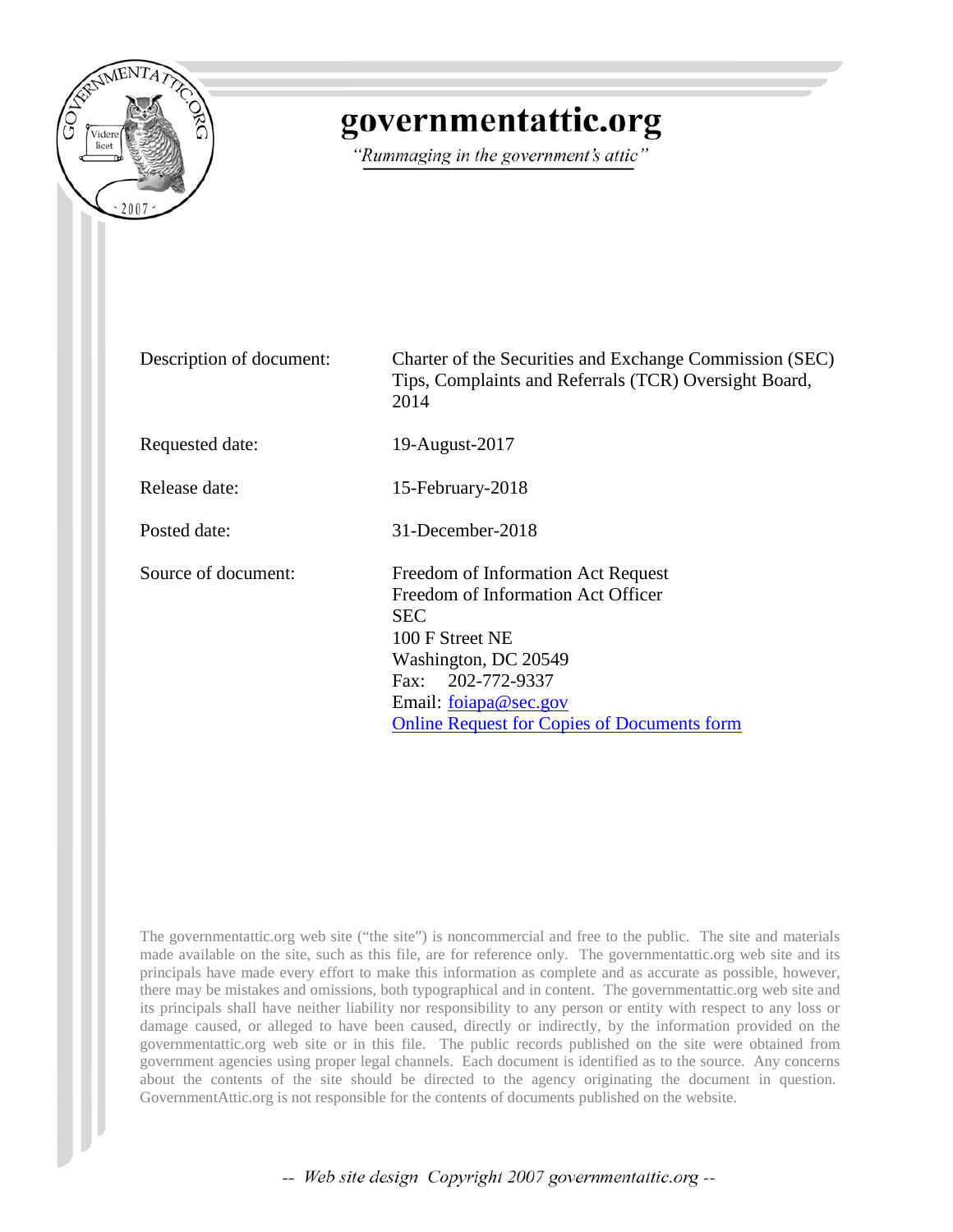

# governmentattic.org

"Rummaging in the government's attic"

| Description of document: | Charter of the Securities and Exchange Commission (SEC)<br>Tips, Complaints and Referrals (TCR) Oversight Board,<br>2014                                                                                                              |
|--------------------------|---------------------------------------------------------------------------------------------------------------------------------------------------------------------------------------------------------------------------------------|
| Requested date:          | 19-August-2017                                                                                                                                                                                                                        |
| Release date:            | 15-February-2018                                                                                                                                                                                                                      |
| Posted date:             | 31-December-2018                                                                                                                                                                                                                      |
| Source of document:      | Freedom of Information Act Request<br>Freedom of Information Act Officer<br><b>SEC</b><br>100 F Street NE<br>Washington, DC 20549<br>Fax: 202-772-9337<br>Email: foiapa@sec.gov<br><b>Online Request for Copies of Documents form</b> |

The governmentattic.org web site ("the site") is noncommercial and free to the public. The site and materials made available on the site, such as this file, are for reference only. The governmentattic.org web site and its principals have made every effort to make this information as complete and as accurate as possible, however, there may be mistakes and omissions, both typographical and in content. The governmentattic.org web site and its principals shall have neither liability nor responsibility to any person or entity with respect to any loss or damage caused, or alleged to have been caused, directly or indirectly, by the information provided on the governmentattic.org web site or in this file. The public records published on the site were obtained from government agencies using proper legal channels. Each document is identified as to the source. Any concerns about the contents of the site should be directed to the agency originating the document in question. GovernmentAttic.org is not responsible for the contents of documents published on the website.

-- Web site design Copyright 2007 governmentattic.org --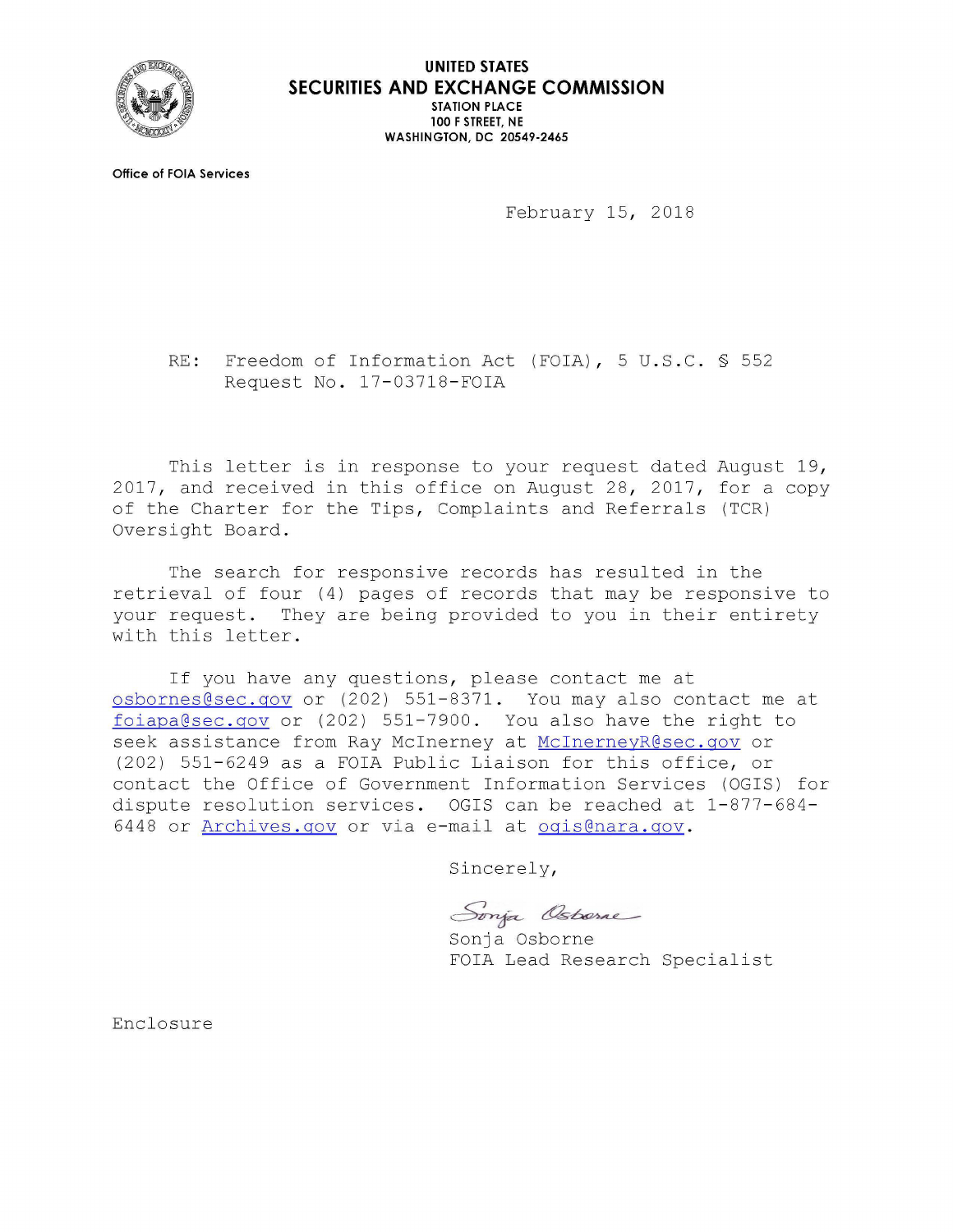

**UNITED STATES SECURITIES AND EXCHANGE COMMISSION STATION PLACE 100 F STREET, NE WASHINGTON, DC 20549-2465** 

**Office of FOIA Services** 

February 15, 2018

RE: Freedom of Information Act (FOIA), 5 U.S.C. § 552 Request No. 17-03718-FOIA

This letter is in response to your request dated August 19, 2017, and received in this office on August 28, 2017, for a copy of the Charter for the Tips, Complaints and Referrals (TCR) Oversight Board.

The search for responsive records has resulted in the retrieval of four (4) pages of records that may be responsive to your request. They are being provided to you in their entirety with this letter.

If you have any questions, please contact me at osbornes@sec .gov or (202) 551-8371. You may also contact me at foi a p a g a c a p a s c i a p a s c i a p a s c i a p a s c i a p a c i a b c i a b c i a b c i a b c i a b c seek assistance from Ray McInerney at McInerneyR@sec.gov or (202) 551-6249 as a FOIA Public Liaison for this office, or contact the Office of Government Information Services (OGIS) for dispute resolution services. OGIS can be reached at 1-877-684- 6448 or Archives.gov or via e-mail at ogis@nara.gov.

Sincerely,

Sonja Osborne

Sonja FOIA Lead Research Specialist

Enclosure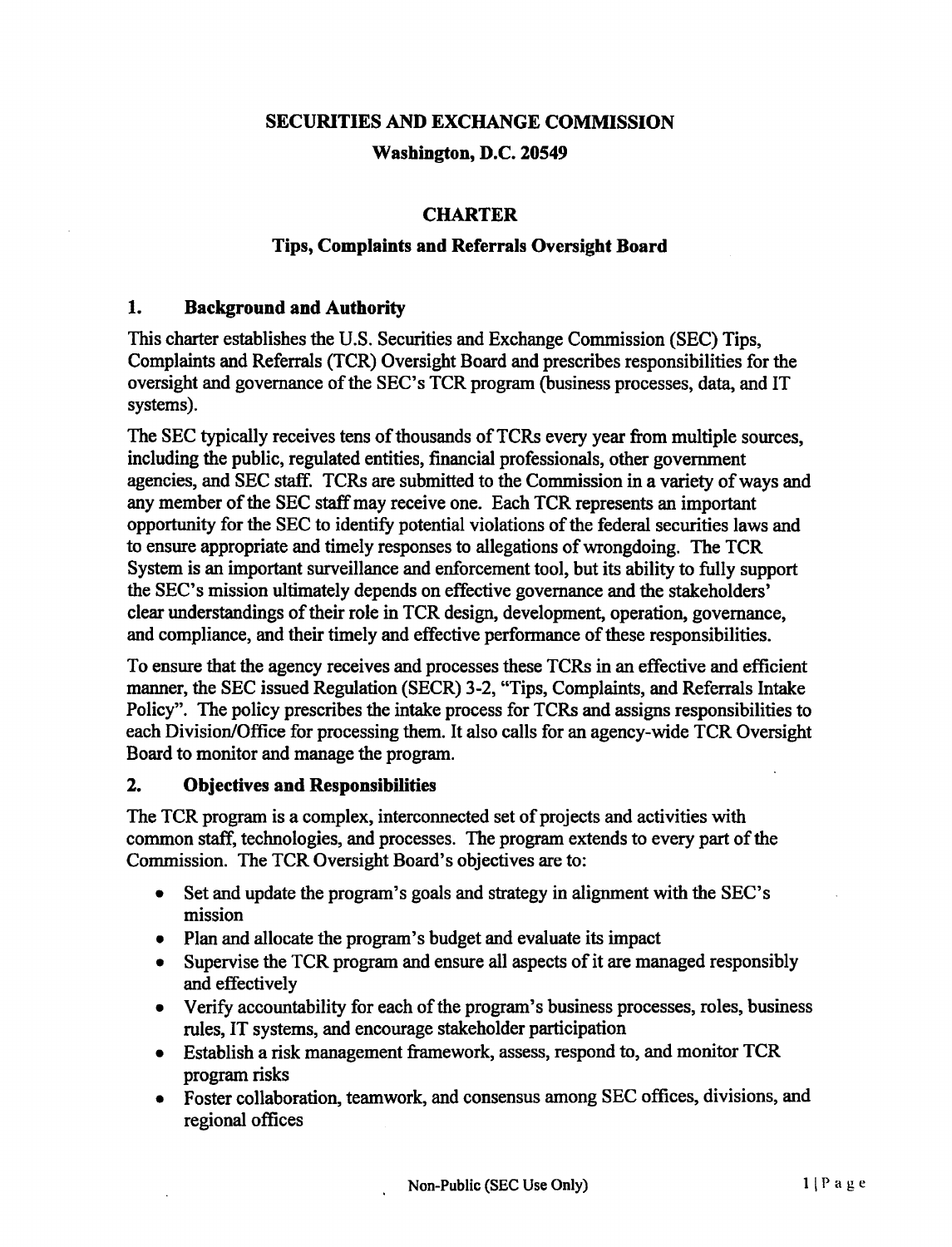## **SECURITIES AND EXCHANGE COMMISSION**

## **Washington, D.C. 20549**

## **CHARTER**

#### **Tips, Complaints and Referrals Oversight Board**

#### **1. Background and Authority**

This charter establishes the U.S. Securities and Exchange Commission (SEC) Tips, Complaints and Referrals (TCR) Oversight Board and prescribes responsibilities for the oversight and governance of the SEC's TCR program (business processes, data, and IT systems).

The SEC typically receives tens of thousands of TCRs every year from multiple sources, including the public, regulated entities, financial professionals, other government agencies, and SEC staff. TCRs are submitted to the Commission in a variety of ways and any member of the SEC staff may receive one. Each TCR represents an important opportunity for the SEC to identify potential violations of the federal securities laws and to ensure appropriate and timely responses to allegations of wrongdoing. The TCR System is an important surveillance and enforcement tool, but its ability to fully support the SEC's mission ultimately depends on effective governance and the stakeholders' clear understandings of their role in TCR design, development, operation, governance, and compliance, and their timely and effective performance of these responsibilities.

To ensure that the agency receives and processes these TCRs in an effective and efficient manner, the SEC issued Regulation (SECR) 3-2, "Tips, Complaints, and Referrals Intake Policy". The policy prescribes the intake process for TCRs and assigns responsibilities to each Division/Office for processing them. It also calls for an agency-wide TCR Oversight Board to monitor and manage the program.

#### **2. Objectives and Responsibilities**

The TCR program is a complex, interconnected set of projects and activities with common staff, technologies, and processes. The program extends to every part of the Commission. The TCR Oversight Board's objectives are to:

- Set and update the program's goals and strategy in alignment with the SEC's mission
- Plan and allocate the program's budget and evaluate its impact
- Supervise the TCR program and ensure all aspects of it are managed responsibly and effectively
- Verify accountability for each of the program's business processes, roles, business rules, IT systems, and encourage stakeholder participation
- Establish a risk management framework, assess, respond to, and monitor TCR program risks
- Foster collaboration, teamwork, and consensus among SEC offices, divisions, and regional offices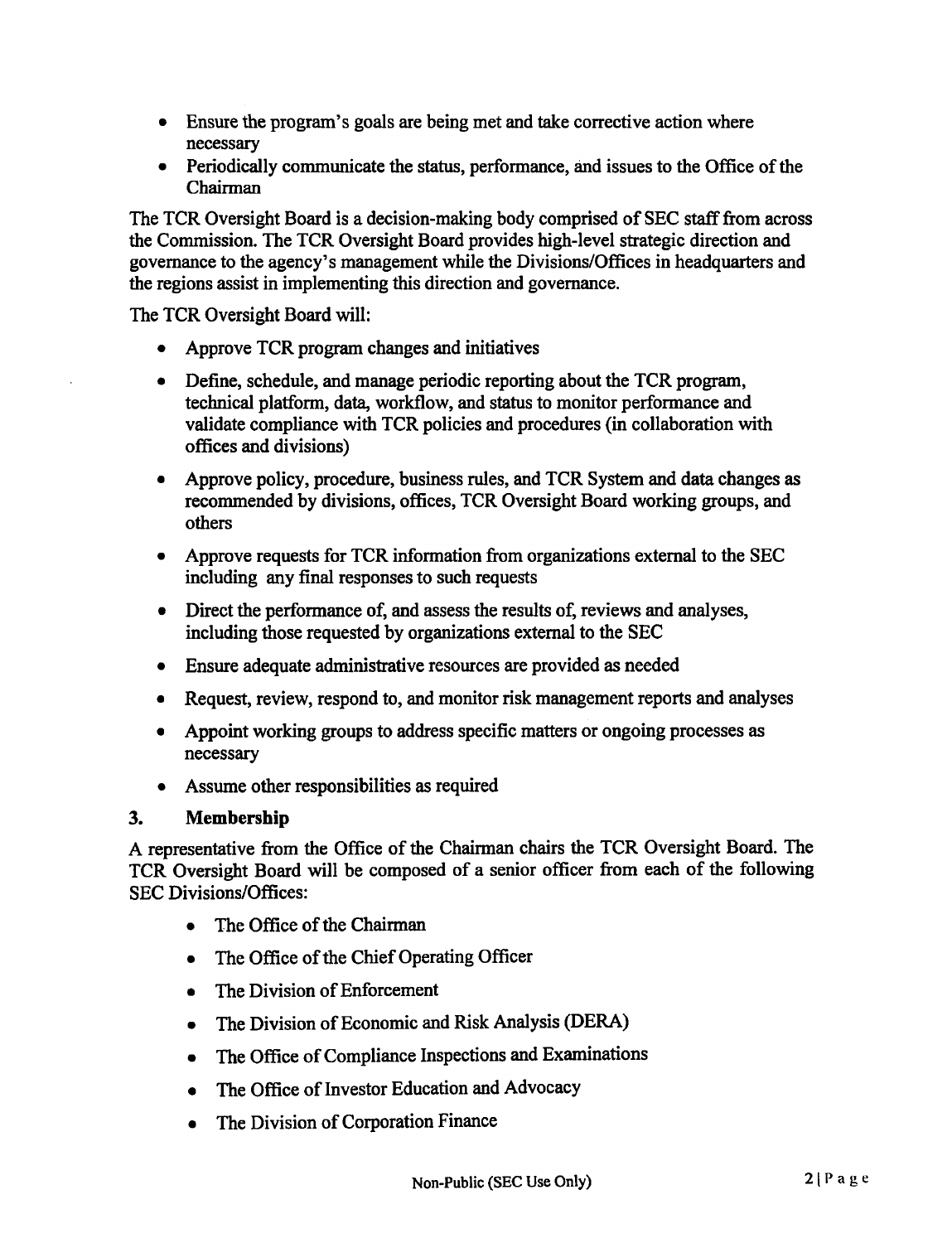- Ensure the program's goals are being met and take corrective action where necessary
- Periodically communicate the status, performance, and issues to the Office of the Chairman

The TCR Oversight Board is a decision-making body comprised of SEC staff from across the Commission. The TCR Oversight Board provides high-level strategic direction and governance to the agency's management while the Divisions/Offices in headquarters and the regions assist in implementing this direction and governance.

The TCR Oversight Board will:

- Approve TCR program changes and initiatives
- Define, schedule, and manage periodic reporting about the TCR program, technical platform, data, workflow, and status to monitor performance and validate compliance with TCR policies and procedures (in collaboration with offices and divisions)
- Approve policy, procedure, business rules, and TCR System and data changes as recommended by divisions, offices, TCR Oversight Board working groups, and others
- Approve requests for TCR information from organizations external to the SEC including any final responses to such requests
- Direct the performance of, and assess the results of, reviews and analyses, including those requested by organizations external to the SEC
- Ensure adequate administrative resources are provided as needed
- Request, review, respond to, and monitor risk management reports and analyses
- Appoint working groups to address specific matters or ongoing processes as necessary
- Assume other responsibilities as required

## **3. Membership**

A representative from the Office of the Chairman chairs the TCR Oversight Board. The TCR Oversight Board will be composed of a senior officer from each of the following SEC Divisions/Offices:

- The Office of the Chairman
- The Office of the Chief Operating Officer
- The Division of Enforcement
- The Division of Economic and Risk Analysis (DERA)
- The Office of Compliance Inspections and Examinations
- The Office of Investor Education and Advocacy
- The Division of Corporation Finance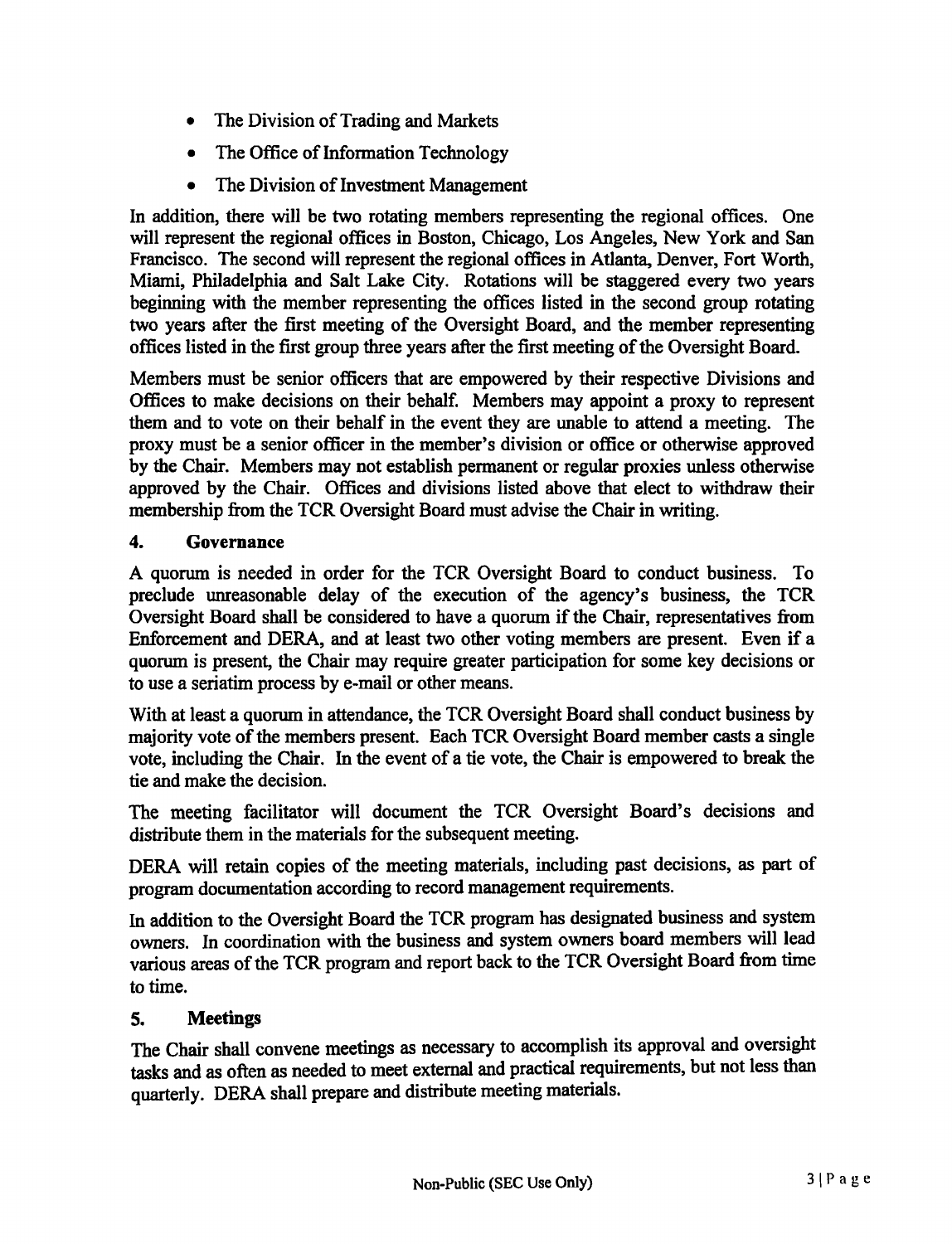- The Division of Trading and Markets
- The Office of Information Technology
- The Division of Investment Management

In addition, there will be two rotating members representing the regional offices. One will represent the regional offices in Boston, Chicago, Los Angeles, New York and San Francisco. The second will represent the regional offices in Atlanta, Denver, Fort Worth, Miami, Philadelphia and Salt Lake City. Rotations will be staggered every two years beginning with the member representing the offices listed in the second group rotating two years after the first meeting of the Oversight Board, and the member representing offices listed in the first group three years after the first meeting of the Oversight Board.

Members must be senior officers that are empowered by their respective Divisions and Offices to make decisions on their behalf. Members may appoint a proxy to represent them and to vote on their behalf in the event they are unable to attend a meeting. The proxy must be a senior officer in the member's division or office or otherwise approved by the Chair. Members may not establish permanent or regular proxies unless otherwise approved by the Chair. Offices and divisions listed above that elect to withdraw their membership from the TCR Oversight Board must advise the Chair in writing.

## **4. Governance**

A quorum is needed in order for the TCR Oversight Board to conduct business. To preclude unreasonable delay of the execution of the agency's business, the TCR Oversight Board shall be considered to have a quorum if the Chair, representatives from Enforcement and DERA, and at least two other voting members are present. Even if a quorum is present, the Chair may require greater participation for some key decisions or to use a seriatim process by e-mail or other means.

With at least a quorum in attendance, the TCR Oversight Board shall conduct business by majority vote of the members present. Each TCR Oversight Board member casts a single vote, including the Chair. In the event of a tie vote, the Chair is empowered to break the tie and make the decision.

The meeting facilitator will document the TCR Oversight Board's decisions and distribute them in the materials for the subsequent meeting.

DERA will retain copies of the meeting materials, including past decisions, as part of program documentation according to record management requirements.

In addition to the Oversight Board the TCR program has designated business and system owners. In coordination with the business and system owners board members will lead various areas of the TCR program and report back to the TCR Oversight Board from time to time.

## **5. Meetings**

The Chair shall convene meetings as necessary to accomplish its approval and oversight tasks and as often as needed to meet external and practical requirements, but not less than quarterly. DERA shall prepare and distribute meeting materials.